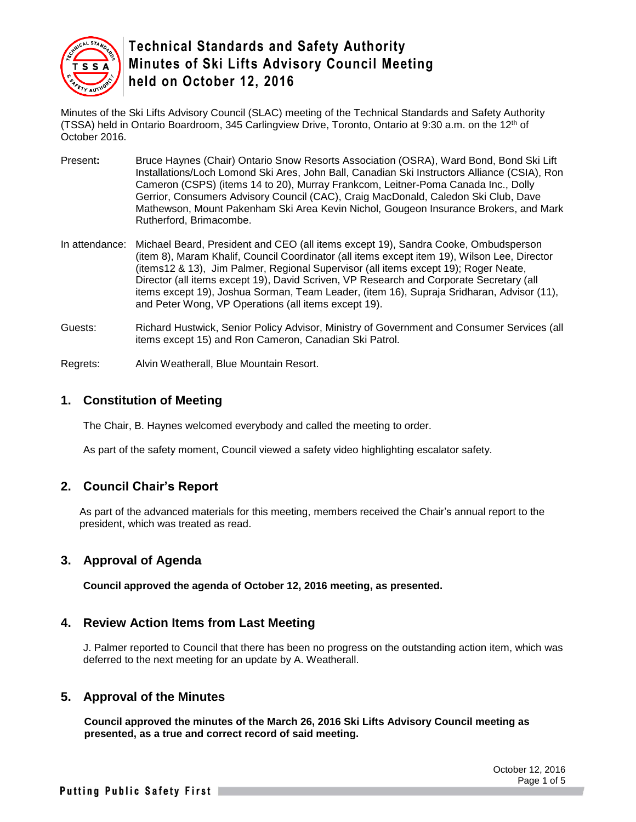

Minutes of the Ski Lifts Advisory Council (SLAC) meeting of the Technical Standards and Safety Authority (TSSA) held in Ontario Boardroom, 345 Carlingview Drive, Toronto, Ontario at 9:30 a.m. on the 12th of October 2016.

- Present**:** Bruce Haynes (Chair) Ontario Snow Resorts Association (OSRA), Ward Bond, Bond Ski Lift Installations/Loch Lomond Ski Ares, John Ball, Canadian Ski Instructors Alliance (CSIA), Ron Cameron (CSPS) (items 14 to 20), Murray Frankcom, Leitner-Poma Canada Inc., Dolly Gerrior, Consumers Advisory Council (CAC), Craig MacDonald, Caledon Ski Club, Dave Mathewson, Mount Pakenham Ski Area Kevin Nichol, Gougeon Insurance Brokers, and Mark Rutherford, Brimacombe.
- In attendance: Michael Beard, President and CEO (all items except 19), Sandra Cooke, Ombudsperson (item 8), Maram Khalif, Council Coordinator (all items except item 19), Wilson Lee, Director (items12 & 13), Jim Palmer, Regional Supervisor (all items except 19); Roger Neate, Director (all items except 19), David Scriven, VP Research and Corporate Secretary (all items except 19), Joshua Sorman, Team Leader, (item 16), Supraja Sridharan, Advisor (11), and Peter Wong, VP Operations (all items except 19).
- Guests: Richard Hustwick, Senior Policy Advisor, Ministry of Government and Consumer Services (all items except 15) and Ron Cameron, Canadian Ski Patrol.
- Regrets: Alvin Weatherall, Blue Mountain Resort.

#### **1. Constitution of Meeting**

The Chair, B. Haynes welcomed everybody and called the meeting to order.

As part of the safety moment, Council viewed a safety video highlighting escalator safety.

#### **2. Council Chair's Report**

As part of the advanced materials for this meeting, members received the Chair's annual report to the president, which was treated as read.

#### **3. Approval of Agenda**

**Council approved the agenda of October 12, 2016 meeting, as presented.**

#### **4. Review Action Items from Last Meeting**

J. Palmer reported to Council that there has been no progress on the outstanding action item, which was deferred to the next meeting for an update by A. Weatherall.

#### **5. Approval of the Minutes**

**Council approved the minutes of the March 26, 2016 Ski Lifts Advisory Council meeting as presented, as a true and correct record of said meeting.**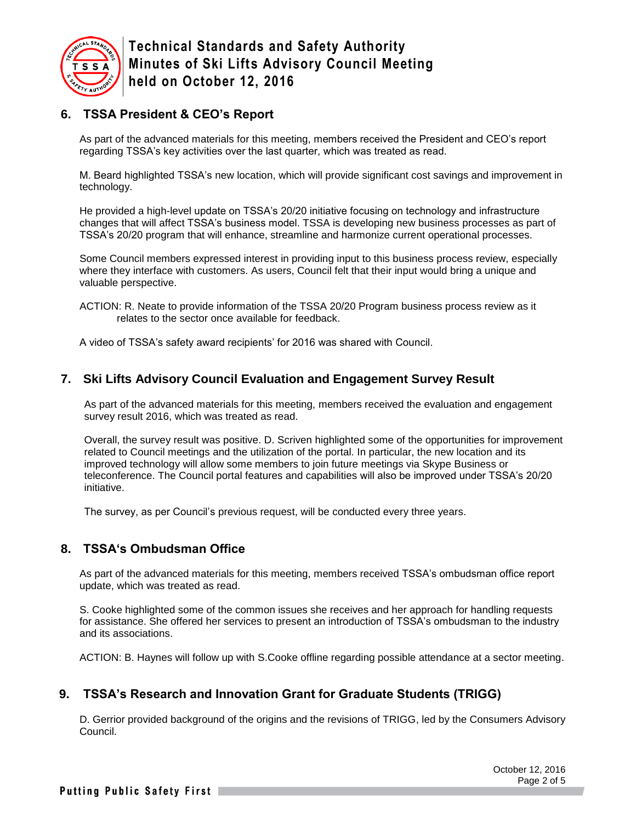

# **6. TSSA President & CEO's Report**

As part of the advanced materials for this meeting, members received the President and CEO's report regarding TSSA's key activities over the last quarter, which was treated as read.

M. Beard highlighted TSSA's new location, which will provide significant cost savings and improvement in technology.

He provided a high-level update on TSSA's 20/20 initiative focusing on technology and infrastructure changes that will affect TSSA's business model. TSSA is developing new business processes as part of TSSA's 20/20 program that will enhance, streamline and harmonize current operational processes.

Some Council members expressed interest in providing input to this business process review, especially where they interface with customers. As users, Council felt that their input would bring a unique and valuable perspective.

ACTION: R. Neate to provide information of the TSSA 20/20 Program business process review as it relates to the sector once available for feedback.

A video of TSSA's safety award recipients' for 2016 was shared with Council.

#### **7. Ski Lifts Advisory Council Evaluation and Engagement Survey Result**

As part of the advanced materials for this meeting, members received the evaluation and engagement survey result 2016, which was treated as read.

Overall, the survey result was positive. D. Scriven highlighted some of the opportunities for improvement related to Council meetings and the utilization of the portal. In particular, the new location and its improved technology will allow some members to join future meetings via Skype Business or teleconference. The Council portal features and capabilities will also be improved under TSSA's 20/20 initiative.

The survey, as per Council's previous request, will be conducted every three years.

#### **8. TSSA's Ombudsman Office**

As part of the advanced materials for this meeting, members received TSSA's ombudsman office report update, which was treated as read.

S. Cooke highlighted some of the common issues she receives and her approach for handling requests for assistance. She offered her services to present an introduction of TSSA's ombudsman to the industry and its associations.

ACTION: B. Haynes will follow up with S.Cooke offline regarding possible attendance at a sector meeting.

#### **9. TSSA's Research and Innovation Grant for Graduate Students (TRIGG)**

D. Gerrior provided background of the origins and the revisions of TRIGG, led by the Consumers Advisory Council.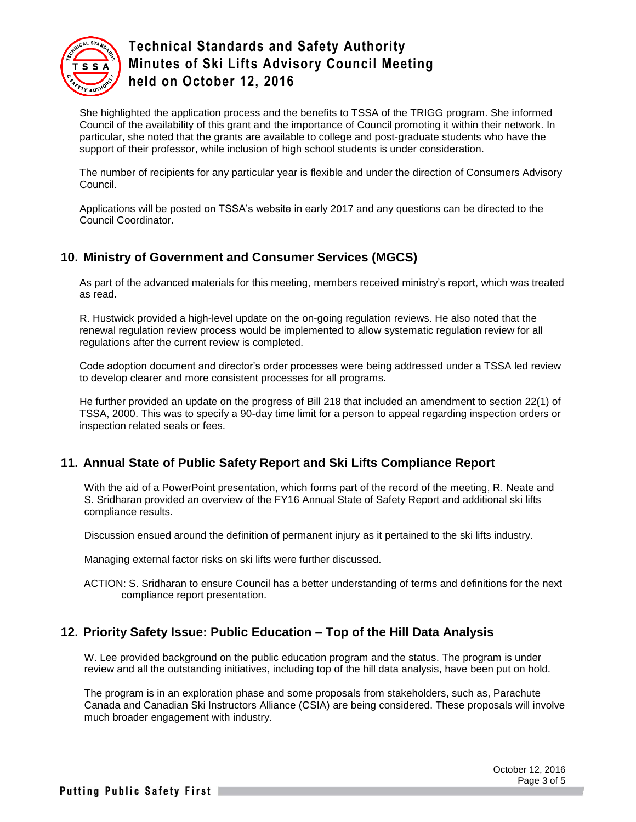

She highlighted the application process and the benefits to TSSA of the TRIGG program. She informed Council of the availability of this grant and the importance of Council promoting it within their network. In particular, she noted that the grants are available to college and post-graduate students who have the support of their professor, while inclusion of high school students is under consideration.

The number of recipients for any particular year is flexible and under the direction of Consumers Advisory Council.

Applications will be posted on TSSA's website in early 2017 and any questions can be directed to the Council Coordinator.

## **10. Ministry of Government and Consumer Services (MGCS)**

As part of the advanced materials for this meeting, members received ministry's report, which was treated as read.

R. Hustwick provided a high-level update on the on-going regulation reviews. He also noted that the renewal regulation review process would be implemented to allow systematic regulation review for all regulations after the current review is completed.

Code adoption document and director's order processes were being addressed under a TSSA led review to develop clearer and more consistent processes for all programs.

He further provided an update on the progress of Bill 218 that included an amendment to section 22(1) of TSSA, 2000. This was to specify a 90-day time limit for a person to appeal regarding inspection orders or inspection related seals or fees.

#### **11. Annual State of Public Safety Report and Ski Lifts Compliance Report**

With the aid of a PowerPoint presentation, which forms part of the record of the meeting, R. Neate and S. Sridharan provided an overview of the FY16 Annual State of Safety Report and additional ski lifts compliance results.

Discussion ensued around the definition of permanent injury as it pertained to the ski lifts industry.

Managing external factor risks on ski lifts were further discussed.

ACTION: S. Sridharan to ensure Council has a better understanding of terms and definitions for the next compliance report presentation.

#### **12. Priority Safety Issue: Public Education – Top of the Hill Data Analysis**

W. Lee provided background on the public education program and the status. The program is under review and all the outstanding initiatives, including top of the hill data analysis, have been put on hold.

The program is in an exploration phase and some proposals from stakeholders, such as, Parachute Canada and Canadian Ski Instructors Alliance (CSIA) are being considered. These proposals will involve much broader engagement with industry.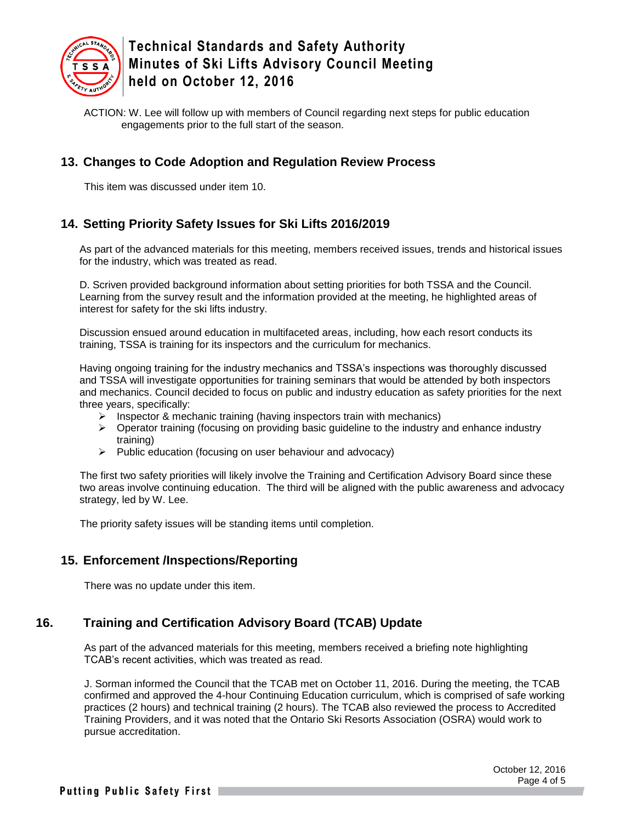

ACTION: W. Lee will follow up with members of Council regarding next steps for public education engagements prior to the full start of the season.

## **13. Changes to Code Adoption and Regulation Review Process**

This item was discussed under item 10.

## **14. Setting Priority Safety Issues for Ski Lifts 2016/2019**

As part of the advanced materials for this meeting, members received issues, trends and historical issues for the industry, which was treated as read.

D. Scriven provided background information about setting priorities for both TSSA and the Council. Learning from the survey result and the information provided at the meeting, he highlighted areas of interest for safety for the ski lifts industry.

Discussion ensued around education in multifaceted areas, including, how each resort conducts its training, TSSA is training for its inspectors and the curriculum for mechanics.

Having ongoing training for the industry mechanics and TSSA's inspections was thoroughly discussed and TSSA will investigate opportunities for training seminars that would be attended by both inspectors and mechanics. Council decided to focus on public and industry education as safety priorities for the next three years, specifically:

- $\triangleright$  Inspector & mechanic training (having inspectors train with mechanics)
- $\triangleright$  Operator training (focusing on providing basic guideline to the industry and enhance industry training)
- $\triangleright$  Public education (focusing on user behaviour and advocacy)

The first two safety priorities will likely involve the Training and Certification Advisory Board since these two areas involve continuing education. The third will be aligned with the public awareness and advocacy strategy, led by W. Lee.

The priority safety issues will be standing items until completion.

#### **15. Enforcement /Inspections/Reporting**

There was no update under this item.

# **16. Training and Certification Advisory Board (TCAB) Update**

As part of the advanced materials for this meeting, members received a briefing note highlighting TCAB's recent activities, which was treated as read.

J. Sorman informed the Council that the TCAB met on October 11, 2016. During the meeting, the TCAB confirmed and approved the 4-hour Continuing Education curriculum, which is comprised of safe working practices (2 hours) and technical training (2 hours). The TCAB also reviewed the process to Accredited Training Providers, and it was noted that the Ontario Ski Resorts Association (OSRA) would work to pursue accreditation.